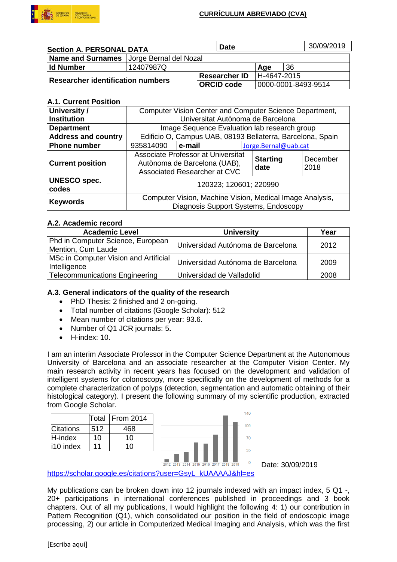

### **CURRÍCULUM ABREVIADO (CVA)**

| <b>Section A. PERSONAL DATA</b>          |                                            | <b>Date</b>          |                     |    | 30/09/2019 |
|------------------------------------------|--------------------------------------------|----------------------|---------------------|----|------------|
|                                          | Name and Surnames   Jorge Bernal del Nozal |                      |                     |    |            |
| <b>Id Number</b>                         | 12407987Q                                  |                      | Age                 | 36 |            |
| <b>Researcher identification numbers</b> |                                            | <b>Researcher ID</b> | H-4647-2015         |    |            |
|                                          |                                            | <b>ORCID code</b>    | 0000-0001-8493-9514 |    |            |

### **A.1. Current Position**

| University /                 | Computer Vision Center and Computer Science Department,                                            |        |                         |                      |  |  |
|------------------------------|----------------------------------------------------------------------------------------------------|--------|-------------------------|----------------------|--|--|
| <b>Institution</b>           | Universitat Autònoma de Barcelona                                                                  |        |                         |                      |  |  |
| <b>Department</b>            | Image Sequence Evaluation lab research group                                                       |        |                         |                      |  |  |
| <b>Address and country</b>   | Edificio O, Campus UAB, 08193 Bellaterra, Barcelona, Spain                                         |        |                         |                      |  |  |
| <b>Phone number</b>          | 935814090                                                                                          | e-mail |                         | Jorge.Bernal@uab.cat |  |  |
| <b>Current position</b>      | Associate Professor at Universitat<br>Autònoma de Barcelona (UAB),<br>Associated Researcher at CVC |        | <b>Starting</b><br>date | December<br>2018     |  |  |
| <b>UNESCO</b> spec.<br>codes | 120323; 120601; 220990                                                                             |        |                         |                      |  |  |
| <b>Keywords</b>              | Computer Vision, Machine Vision, Medical Image Analysis,<br>Diagnosis Support Systems, Endoscopy   |        |                         |                      |  |  |

### **A.2. Academic record**

| <b>Academic Level</b>                                   | <b>University</b>                 | Year |
|---------------------------------------------------------|-----------------------------------|------|
| Phd in Computer Science, European<br>Mention, Cum Laude | Universidad Autónoma de Barcelona | 2012 |
| MSc in Computer Vision and Artificial<br>Intelligence   | Universidad Autónoma de Barcelona | 2009 |
| <b>Telecommunications Engineering</b>                   | Universidad de Valladolid         | 2008 |

### **A.3. General indicators of the quality of the research**

- PhD Thesis: 2 finished and 2 on-going.
- Total number of citations (Google Scholar): 512
- Mean number of citations per year: 93.6.
- Number of Q1 JCR journals: 5**.**
- H-index: 10.

I am an interim Associate Professor in the Computer Science Department at the Autonomous University of Barcelona and an associate researcher at the Computer Vision Center. My main research activity in recent years has focused on the development and validation of intelligent systems for colonoscopy, more specifically on the development of methods for a complete characterization of polyps (detection, segmentation and automatic obtaining of their histological category). I present the following summary of my scientific production, extracted from Google Scholar.

|                  |     | Total   From 2014 |
|------------------|-----|-------------------|
| <b>Citations</b> | 512 | 468               |
| H-index          | 10  | 10                |
| i10 index        |     | 1 በ               |



Date: 30/09/2019

[https://scholar.google.es/citations?user=GsyL\\_kUAAAAJ&hl=es](https://scholar.google.es/citations?user=GsyL_kUAAAAJ&hl=es)

My publications can be broken down into 12 journals indexed with an impact index, 5 Q1 -, 20+ participations in international conferences published in proceedings and 3 book chapters. Out of all my publications, I would highlight the following 4: 1) our contribution in Pattern Recognition (Q1), which consolidated our position in the field of endoscopic image processing, 2) our article in Computerized Medical Imaging and Analysis, which was the first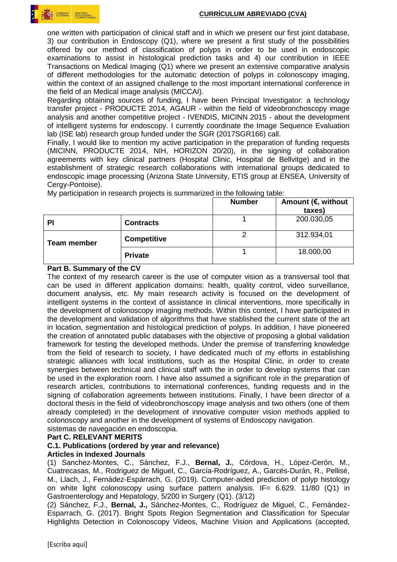

one written with participation of clinical staff and in which we present our first joint database, 3) our contribution in Endoscopy (Q1), where we present a first study of the possibilities offered by our method of classification of polyps in order to be used in endoscopic examinations to assist in histological prediction tasks and 4) our contribution in IEEE Transactions on Medical Imaging (Q1) where we present an extensive comparative analysis of different methodologies for the automatic detection of polyps in colonoscopy imaging, within the context of an assigned challenge to the most important international conference in the field of an Medical image analysis (MICCAI).

Regarding obtaining sources of funding, I have been Principal Investigator: a technology transfer project - PRODUCTE 2014, AGAUR - within the field of videobronchoscopy image analysis and another competitive project - IVENDIS, MICINN 2015 - about the development of intelligent systems for endoscopy. I currently coordinate the Image Sequence Evaluation lab (ISE lab) research group funded under the SGR (2017SGR166) call.

Finally, I would like to mention my active participation in the preparation of funding requests (MICINN, PRODUCTE 2014, NIH, HORIZON 20/20), in the signing of collaboration agreements with key clinical partners (Hospital Clinic, Hospital de Bellvitge) and in the establishment of strategic research collaborations with international groups dedicated to endoscopic image processing (Arizona State University, ETIS group at ENSEA, University of Cerav-Pontoise).

|                    |                    | <b>Number</b> | Amount ( $\epsilon$ , without<br>taxes) |
|--------------------|--------------------|---------------|-----------------------------------------|
| PI                 | <b>Contracts</b>   |               | 200.030,05                              |
| <b>Team member</b> | <b>Competitive</b> |               | 312.934,01                              |
|                    | <b>Private</b>     |               | 18.000,00                               |

My participation in research projects is summarized in the following table:

### **Part B. Summary of the CV**

The context of my research career is the use of computer vision as a transversal tool that can be used in different application domains: health, quality control, video surveillance, document analysis, etc. My main research activity is focused on the development of intelligent systems in the context of assistance in clinical interventions, more specifically in the development of colonoscopy imaging methods. Within this context, I have participated in the development and validation of algorithms that have stablished the current state of the art in location, segmentation and histological prediction of polyps. In addition, I have pioneered the creation of annotated public databases with the objective of proposing a global validation framework for testing the developed methods. Under the premise of transferring knowledge from the field of research to society, I have dedicated much of my efforts in establishing strategic alliances with local institutions, such as the Hospital Clinic, in order to create synergies between technical and clinical staff with the in order to develop systems that can be used in the exploration room. I have also assumed a significant role in the preparation of research articles, contributions to international conferences, funding requests and in the signing of collaboration agreements between institutions. Finally, I have been director of a doctoral thesis in the field of videobronchoscopy image analysis and two others (one of them already completed) in the development of innovative computer vision methods applied to colonoscopy and another in the development of systems of Endoscopy navigation.

# sistemas de navegación en endoscopia.

### **Part C. RELEVANT MERITS**

# **C.1. Publications (ordered by year and relevance)**

### **Articles in Indexed Journals**

(1) Sanchez-Montes, C., Sánchez, F.J., **Bernal, J.**, Córdova, H., López-Cerón, M., Cuatrecasas, M., Rodriguez de Miguel, C., García-Rodríguez, A., Garcés-Durán, R., Pellisé, M., Llach, J., Fernádez-Espárrach, G. (2019). Computer-aided prediction of polyp histology on white light colonoscopy using surface pattern analysis. IF= 6.629. 11/80 (Q1) in Gastroenterology and Hepatology, 5/200 in Surgery (Q1). (3/12)

(2) Sánchez, F.J., **Bernal, J.,** Sánchez-Montes, C., Rodríguez de Miguel, C., Fernández-Esparrach, G. (2017). Bright Spots Region Segmentation and Classification for Specular Highlights Detection in Colonoscopy Videos, Machine Vision and Applications (accepted,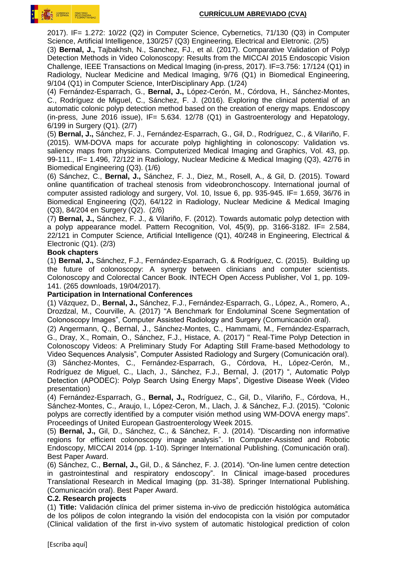

2017). IF= 1.272: 10/22 (Q2) in Computer Science, Cybernetics, 71/130 (Q3) in Computer Science, Artificial Intelligence, 130/257 (Q3) Engineering, Electrical and Eletronic. (2/5)

(3) **Bernal, J.,** Tajbakhsh, N., Sanchez, FJ., et al. (2017). Comparative Validation of Polyp Detection Methods in Video Colonoscopy: Results from the MICCAI 2015 Endoscopic Vision Challenge, IEEE Transactions on Medical Imaging (in-press, 2017). IF=3.756: 17/124 (Q1) in Radiology, Nuclear Medicine and Medical Imaging, 9/76 (Q1) in Biomedical Engineering, 9/104 (Q1) in Computer Science, InterDisciplinary App. (1/24)

(4) Fernández-Esparrach, G., **Bernal, J.,** López-Cerón, M., Córdova, H., Sánchez-Montes, C., Rodríguez de Miguel, C., Sánchez, F. J. (2016). Exploring the clinical potential of an automatic colonic polyp detection method based on the creation of energy maps. Endoscopy (in-press, June 2016 issue),  $IF = 5.634$ . 12/78 (Q1) in Gastroenterology and Hepatology, 6/199 in Surgery (Q1). (2/7)

(5) **Bernal, J.,** Sánchez, F. J., Fernández-Esparrach, G., Gil, D., Rodríguez, C., & Vilariño, F. (2015). WM-DOVA maps for accurate polyp highlighting in colonoscopy: Validation vs. saliency maps from physicians. Computerized Medical Imaging and Graphics, Vol. 43, pp. 99-111., IF= 1.496, 72/122 in Radiology, Nuclear Medicine & Medical Imaging (Q3), 42/76 in Biomedical Engineering (Q3). (1/6)

(6) Sánchez, C., **Bernal, J.,** Sánchez, F. J., Diez, M., Rosell, A., & Gil, D. (2015). Toward online quantification of tracheal stenosis from videobronchoscopy. International journal of computer assisted radiology and surgery, Vol. 10, Issue 6, pp. 935-945. IF= 1.659, 36/76 in Biomedical Engineering (Q2), 64/122 in Radiology, Nuclear Medicine & Medical Imaging (Q3), 84/204 en Surgery (Q2). (2/6)

(7) **Bernal, J.,** Sánchez, F. J., & Vilariño, F. (2012). Towards automatic polyp detection with a polyp appearance model. Pattern Recognition, Vol, 45(9), pp. 3166-3182. IF= 2.584, 22/121 in Computer Science, Artificial Intelligence (Q1), 40/248 in Engineering, Electrical & Electronic (Q1). (2/3)

#### **Book chapters**

(1) **Bernal, J.,** Sánchez, F.J., Fernández-Esparrach, G. & Rodríguez, C. (2015). Building up the future of colonoscopy: A synergy between clinicians and computer scientists. Colonoscopy and Colorectal Cancer Book. INTECH Open Access Publisher, Vol 1, pp. 109- 141. (265 downloads, 19/04/2017).

### **Participation in International Conferences**

(1) Vázquez, D., **Bernal, J.,** Sánchez, F.J., Fernández-Esparrach, G., López, A., Romero, A., Drozdzal, M., Courville, A. (2017) "A Benchmark for Endoluminal Scene Segmentation of Colonoscopy Images", Computer Assisted Radiology and Surgery (Comunicación oral).

(2) Angermann, Q., Bernal, J., Sánchez-Montes, C., Hammami, M., Fernández-Esparrach, G., Dray, X., Romain, O., Sánchez, F.J., Histace, A. (2017) " Real-Time Polyp Detection in Colonoscopy Videos: A Preliminary Study For Adapting Still Frame-based Methodology to Video Sequences Analysis", Computer Assisted Radiology and Surgery (Comunicación oral). (3) Sánchez-Montes, C., Fernández-Esparrach, G., Córdova, H., López-Cerón, M., Rodríguez de Miguel, C., Llach, J., Sánchez, F.J., Bernal, J. (2017) ", Automatic Polyp Detection (APODEC): Polyp Search Using Energy Maps", Digestive Disease Week (Video

presentation)

(4) Fernández-Esparrach, G., **Bernal, J.,** Rodríguez, C., Gil, D., Vilariño, F., Córdova, H., Sánchez-Montes, C., Araujo, I., López-Ceron, M., Llach, J. & Sánchez, F.J. (2015). "Colonic polyps are correctly identified by a computer visión method using WM-DOVA energy maps". Proceedings of United European Gastroenterology Week 2015.

(5) **Bernal, J.,** Gil, D., Sánchez, C., & Sánchez, F. J. (2014). "Discarding non informative regions for efficient colonoscopy image analysis". In Computer-Assisted and Robotic Endoscopy, MICCAI 2014 (pp. 1-10). Springer International Publishing. (Comunicación oral). Best Paper Award.

(6) Sánchez, C., **Bernal, J.,** Gil, D., & Sánchez, F. J. (2014). "On-line lumen centre detection in gastrointestinal and respiratory endoscopy". In Clinical image-based procedures Translational Research in Medical Imaging (pp. 31-38). Springer International Publishing. (Comunicación oral). Best Paper Award.

### **C.2. Research projects**

(1) **Title:** Validación clínica del primer sistema in-vivo de predicción histológica automática de los pólipos de colon integrando la visión del endocopista con la visión por computador (Clinical validation of the first in-vivo system of automatic histological prediction of colon